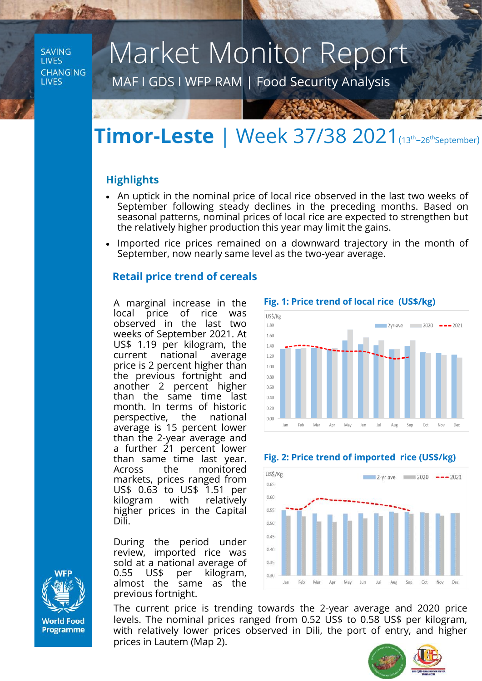**SAVING LIVES CHANGING LIVES** 

# Market Monitor Report

MAF I GDS I WFP RAM | Food Security Analysis

## **Timor-Leste** | Week 37/38 2021(13th –26thSeptember)

### **Highlights**

- An uptick in the nominal price of local rice observed in the last two weeks of September following steady declines in the preceding months. Based on seasonal patterns, nominal prices of local rice are expected to strengthen but the relatively higher production this year may limit the gains.
- Imported rice prices remained on a downward trajectory in the month of September, now nearly same level as the two-year average.

### **Retail price trend of cereals**

A marginal increase in the local price of rice was observed in the last two weeks of September 2021. At US\$ 1.19 per kilogram, the current national average price is 2 percent higher than the previous fortnight and another 2 percent higher than the same time last month. In terms of historic perspective, the national average is 15 percent lower than the 2-year average and a further 21 percent lower than same time last year. Across the monitored markets, prices ranged from US\$ 0.63 to US\$ 1.51 per kilogram with relatively higher prices in the Capital Dili.

During the period under review, imported rice was sold at a national average of 0.55 US\$ per kilogram, almost the same as the previous fortnight.

The current price is trending towards the 2-year average and 2020 price levels. The nominal prices ranged from 0.52 US\$ to 0.58 US\$ per kilogram, with relatively lower prices observed in Dili, the port of entry, and higher prices in Lautem (Map 2).

Feb Mar Apr May lun **Jul** 

Jan

US\$/Kg

0.65 0.60 0.55  $0.50$ 0.45 0.40 0.35  $0.30$ 









Aug

 $San$ Oct Nov

2-yr ave  $2020 - -2021$ 

 **Fig. 1: Price trend of local rice (US\$/kg)**